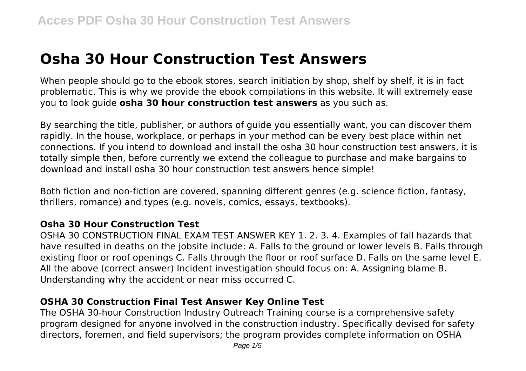# **Osha 30 Hour Construction Test Answers**

When people should go to the ebook stores, search initiation by shop, shelf by shelf, it is in fact problematic. This is why we provide the ebook compilations in this website. It will extremely ease you to look guide **osha 30 hour construction test answers** as you such as.

By searching the title, publisher, or authors of guide you essentially want, you can discover them rapidly. In the house, workplace, or perhaps in your method can be every best place within net connections. If you intend to download and install the osha 30 hour construction test answers, it is totally simple then, before currently we extend the colleague to purchase and make bargains to download and install osha 30 hour construction test answers hence simple!

Both fiction and non-fiction are covered, spanning different genres (e.g. science fiction, fantasy, thrillers, romance) and types (e.g. novels, comics, essays, textbooks).

#### **Osha 30 Hour Construction Test**

OSHA 30 CONSTRUCTION FINAL EXAM TEST ANSWER KEY 1. 2. 3. 4. Examples of fall hazards that have resulted in deaths on the jobsite include: A. Falls to the ground or lower levels B. Falls through existing floor or roof openings C. Falls through the floor or roof surface D. Falls on the same level E. All the above (correct answer) Incident investigation should focus on: A. Assigning blame B. Understanding why the accident or near miss occurred C.

# **OSHA 30 Construction Final Test Answer Key Online Test**

The OSHA 30-hour Construction Industry Outreach Training course is a comprehensive safety program designed for anyone involved in the construction industry. Specifically devised for safety directors, foremen, and field supervisors; the program provides complete information on OSHA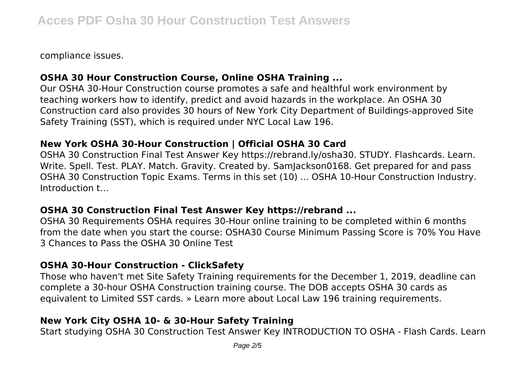compliance issues.

## **OSHA 30 Hour Construction Course, Online OSHA Training ...**

Our OSHA 30-Hour Construction course promotes a safe and healthful work environment by teaching workers how to identify, predict and avoid hazards in the workplace. An OSHA 30 Construction card also provides 30 hours of New York City Department of Buildings-approved Site Safety Training (SST), which is required under NYC Local Law 196.

#### **New York OSHA 30-Hour Construction | Official OSHA 30 Card**

OSHA 30 Construction Final Test Answer Key https://rebrand.ly/osha30. STUDY. Flashcards. Learn. Write. Spell. Test. PLAY. Match. Gravity. Created by. Samlackson0168. Get prepared for and pass OSHA 30 Construction Topic Exams. Terms in this set (10) ... OSHA 10-Hour Construction Industry. Introduction t…

#### **OSHA 30 Construction Final Test Answer Key https://rebrand ...**

OSHA 30 Requirements OSHA requires 30-Hour online training to be completed within 6 months from the date when you start the course: OSHA30 Course Minimum Passing Score is 70% You Have 3 Chances to Pass the OSHA 30 Online Test

#### **OSHA 30-Hour Construction - ClickSafety**

Those who haven't met Site Safety Training requirements for the December 1, 2019, deadline can complete a 30-hour OSHA Construction training course. The DOB accepts OSHA 30 cards as equivalent to Limited SST cards. » Learn more about Local Law 196 training requirements.

## **New York City OSHA 10- & 30-Hour Safety Training**

Start studying OSHA 30 Construction Test Answer Key INTRODUCTION TO OSHA - Flash Cards. Learn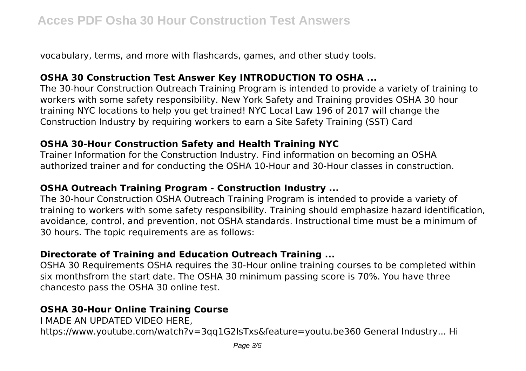vocabulary, terms, and more with flashcards, games, and other study tools.

## **OSHA 30 Construction Test Answer Key INTRODUCTION TO OSHA ...**

The 30-hour Construction Outreach Training Program is intended to provide a variety of training to workers with some safety responsibility. New York Safety and Training provides OSHA 30 hour training NYC locations to help you get trained! NYC Local Law 196 of 2017 will change the Construction Industry by requiring workers to earn a Site Safety Training (SST) Card

## **OSHA 30-Hour Construction Safety and Health Training NYC**

Trainer Information for the Construction Industry. Find information on becoming an OSHA authorized trainer and for conducting the OSHA 10-Hour and 30-Hour classes in construction.

## **OSHA Outreach Training Program - Construction Industry ...**

The 30-hour Construction OSHA Outreach Training Program is intended to provide a variety of training to workers with some safety responsibility. Training should emphasize hazard identification, avoidance, control, and prevention, not OSHA standards. Instructional time must be a minimum of 30 hours. The topic requirements are as follows:

# **Directorate of Training and Education Outreach Training ...**

OSHA 30 Requirements OSHA requires the 30-Hour online training courses to be completed within six monthsfrom the start date. The OSHA 30 minimum passing score is 70%. You have three chancesto pass the OSHA 30 online test.

# **OSHA 30-Hour Online Training Course**

I MADE AN UPDATED VIDEO HERE, https://www.youtube.com/watch?v=3qq1G2IsTxs&feature=youtu.be360 General Industry... Hi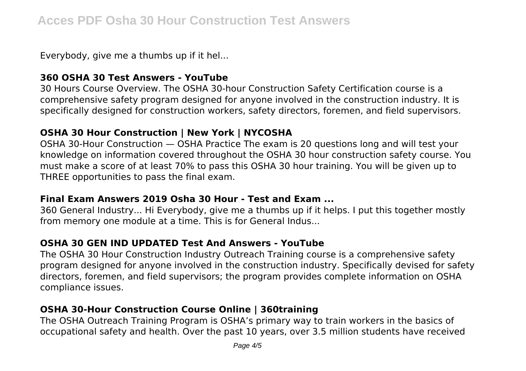Everybody, give me a thumbs up if it hel...

#### **360 OSHA 30 Test Answers - YouTube**

30 Hours Course Overview. The OSHA 30-hour Construction Safety Certification course is a comprehensive safety program designed for anyone involved in the construction industry. It is specifically designed for construction workers, safety directors, foremen, and field supervisors.

## **OSHA 30 Hour Construction | New York | NYCOSHA**

OSHA 30-Hour Construction — OSHA Practice The exam is 20 questions long and will test your knowledge on information covered throughout the OSHA 30 hour construction safety course. You must make a score of at least 70% to pass this OSHA 30 hour training. You will be given up to THREE opportunities to pass the final exam.

#### **Final Exam Answers 2019 Osha 30 Hour - Test and Exam ...**

360 General Industry... Hi Everybody, give me a thumbs up if it helps. I put this together mostly from memory one module at a time. This is for General Indus...

# **OSHA 30 GEN IND UPDATED Test And Answers - YouTube**

The OSHA 30 Hour Construction Industry Outreach Training course is a comprehensive safety program designed for anyone involved in the construction industry. Specifically devised for safety directors, foremen, and field supervisors; the program provides complete information on OSHA compliance issues.

## **OSHA 30-Hour Construction Course Online | 360training**

The OSHA Outreach Training Program is OSHA's primary way to train workers in the basics of occupational safety and health. Over the past 10 years, over 3.5 million students have received